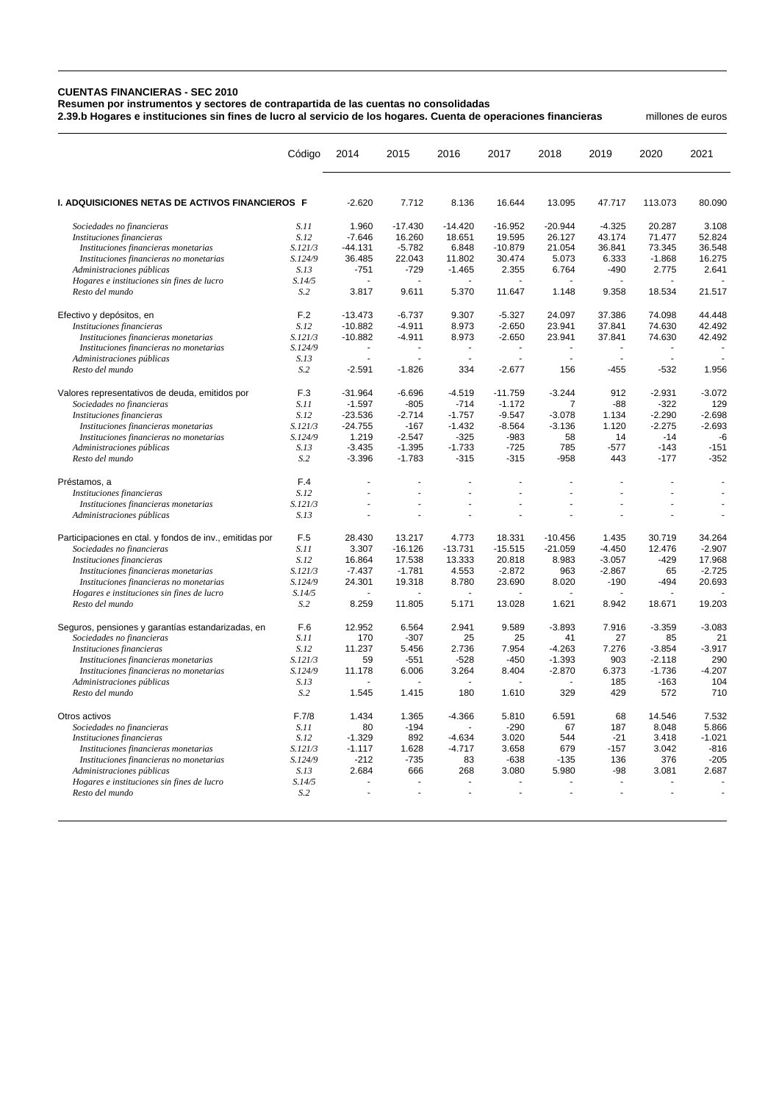## **CUENTAS FINANCIERAS - SEC 2010**

**Resumen por instrumentos y sectores de contrapartida de las cuentas no consolidadas**

**2.39.b Hogares e instituciones sin fines de lucro al servicio de los hogares. Cuenta de operaciones financieras** millones de euros

| I. ADQUISICIONES NETAS DE ACTIVOS FINANCIEROS F<br>$-2.620$<br>7.712<br>8.136<br>16.644<br>13.095<br>47.717<br>113.073<br>S.11<br>1.960<br>$-14.420$<br>$-16.952$<br>$-20.944$<br>$-4.325$<br>20.287<br>Sociedades no financieras<br>$-17.430$<br>19.595<br>S.12<br>$-7.646$<br>16.260<br>18.651<br>26.127<br>43.174<br>71.477<br>Instituciones financieras<br>Instituciones financieras monetarias<br>S.121/3<br>$-44.131$<br>$-5.782$<br>6.848<br>$-10.879$<br>21.054<br>36.841<br>73.345<br>36.485<br>22.043<br>11.802<br>30.474<br>5.073<br>6.333<br>$-1.868$<br>Instituciones financieras no monetarias<br>S.124/9<br>$-751$<br>$-729$<br>$-1.465$<br>2.355<br>6.764<br>$-490$<br>2.775<br>Administraciones públicas<br>S.13<br>Hogares e instituciones sin fines de lucro<br>S.14/5<br>3.817<br>9.611<br>5.370<br>11.647<br>9.358<br>Resto del mundo<br>S.2<br>1.148<br>18.534<br>Efectivo y depósitos, en<br>F.2<br>$-13.473$<br>$-6.737$<br>9.307<br>$-5.327$<br>24.097<br>37.386<br>74.098<br>Instituciones financieras<br>S.12<br>$-10.882$<br>$-4.911$<br>8.973<br>$-2.650$<br>37.841<br>74.630<br>23.941<br>Instituciones financieras monetarias<br>S.121/3<br>$-10.882$<br>$-4.911$<br>8.973<br>$-2.650$<br>23.941<br>37.841<br>74.630<br>Instituciones financieras no monetarias<br>S.124/9<br>$\overline{a}$<br>Administraciones públicas<br>S.13<br>$\overline{\phantom{a}}$<br>$\overline{a}$<br>$\overline{a}$<br>$-532$<br>Resto del mundo<br>S.2<br>$-2.591$<br>$-1.826$<br>334<br>$-2.677$<br>156<br>-455<br>Valores representativos de deuda, emitidos por<br>F.3<br>$-31.964$<br>$-6.696$<br>$-4.519$<br>$-3.244$<br>912<br>$-2.931$<br>$-11.759$<br>Sociedades no financieras<br>S.11<br>$-1.597$<br>$-805$<br>$-714$<br>$-1.172$<br>$\overline{7}$<br>$-88$<br>$-322$<br>S.12<br>$-23.536$<br>$-2.714$<br>$-1.757$<br>$-9.547$<br>$-3.078$<br>$-2.290$<br>Instituciones financieras<br>1.134<br>S.121/3<br>$-24.755$<br>$-167$<br>$-1.432$<br>$-8.564$<br>$-3.136$<br>1.120<br>$-2.275$<br>Instituciones financieras monetarias<br>1.219<br>$-325$<br>$-983$<br>Instituciones financieras no monetarias<br>S.124/9<br>$-2.547$<br>58<br>14<br>$-14$<br>$-3.435$<br>$-1.395$<br>$-1.733$<br>$-725$<br>$-143$<br>Administraciones públicas<br>S.13<br>785<br>$-577$<br>$-3.396$<br>$-1.783$<br>$-315$<br>$-315$<br>-958<br>443<br>$-177$<br>Resto del mundo<br>S.2<br>F.4<br>Préstamos, a<br>S.12<br>Instituciones financieras<br>$\overline{a}$<br>÷.<br>L.<br>L.<br>L.<br>Instituciones financieras monetarias<br>S.121/3<br>÷,<br>$\overline{\phantom{a}}$<br>$\overline{a}$<br>$\sim$<br>÷.<br>Administraciones públicas<br>S.13<br>$\overline{a}$<br>$\overline{a}$<br>Participaciones en ctal. y fondos de inv., emitidas por<br>F.5<br>28.430<br>13.217<br>4.773<br>18.331<br>$-10.456$<br>1.435<br>30.719<br>Sociedades no financieras<br>S.11<br>3.307<br>$-16.126$<br>$-13.731$<br>$-15.515$<br>$-21.059$<br>$-4.450$<br>12.476<br>Instituciones financieras<br>S.12<br>16.864<br>17.538<br>13.333<br>20.818<br>8.983<br>$-3.057$<br>$-429$<br>$-7.437$<br>4.553<br>$-2.872$<br>963<br>$-2.867$<br>65<br>Instituciones financieras monetarias<br>S.121/3<br>$-1.781$<br>24.301<br>19.318<br>8.780<br>23.690<br>8.020<br>$-190$<br>$-494$<br>Instituciones financieras no monetarias<br>S.124/9<br>Hogares e instituciones sin fines de lucro<br>S.14/5<br>Resto del mundo<br>8.259<br>11.805<br>5.171<br>13.028<br>1.621<br>8.942<br>18.671<br>S <sub>2</sub><br>Seguros, pensiones y garantías estandarizadas, en<br>F.6<br>12.952<br>6.564<br>2.941<br>9.589<br>$-3.893$<br>7.916<br>$-3.359$<br>Sociedades no financieras<br>S.11<br>170<br>$-307$<br>25<br>25<br>41<br>27<br>85<br>11.237<br>5.456<br>2.736<br>7.276<br>Instituciones financieras<br>S.12<br>7.954<br>$-4.263$<br>$-3.854$<br>$-450$<br>59<br>$-551$<br>$-528$<br>$-1.393$<br>903<br>$-2.118$<br>Instituciones financieras monetarias<br>S.121/3 | 80.090   |
|-------------------------------------------------------------------------------------------------------------------------------------------------------------------------------------------------------------------------------------------------------------------------------------------------------------------------------------------------------------------------------------------------------------------------------------------------------------------------------------------------------------------------------------------------------------------------------------------------------------------------------------------------------------------------------------------------------------------------------------------------------------------------------------------------------------------------------------------------------------------------------------------------------------------------------------------------------------------------------------------------------------------------------------------------------------------------------------------------------------------------------------------------------------------------------------------------------------------------------------------------------------------------------------------------------------------------------------------------------------------------------------------------------------------------------------------------------------------------------------------------------------------------------------------------------------------------------------------------------------------------------------------------------------------------------------------------------------------------------------------------------------------------------------------------------------------------------------------------------------------------------------------------------------------------------------------------------------------------------------------------------------------------------------------------------------------------------------------------------------------------------------------------------------------------------------------------------------------------------------------------------------------------------------------------------------------------------------------------------------------------------------------------------------------------------------------------------------------------------------------------------------------------------------------------------------------------------------------------------------------------------------------------------------------------------------------------------------------------------------------------------------------------------------------------------------------------------------------------------------------------------------------------------------------------------------------------------------------------------------------------------------------------------------------------------------------------------------------------------------------------------------------------------------------------------------------------------------------------------------------------------------------------------------------------------------------------------------------------------------------------------------------------------------------------------------------------------------------------------------------------------------------------------------------------------------------------------------------------------------------------------------------------------------------------------------------------------------------------------------------------------------------------------------------------------------------------------------------------------------------------------------------------------------------------------------------------------|----------|
|                                                                                                                                                                                                                                                                                                                                                                                                                                                                                                                                                                                                                                                                                                                                                                                                                                                                                                                                                                                                                                                                                                                                                                                                                                                                                                                                                                                                                                                                                                                                                                                                                                                                                                                                                                                                                                                                                                                                                                                                                                                                                                                                                                                                                                                                                                                                                                                                                                                                                                                                                                                                                                                                                                                                                                                                                                                                                                                                                                                                                                                                                                                                                                                                                                                                                                                                                                                                                                                                                                                                                                                                                                                                                                                                                                                                                                                                                                                                                       |          |
|                                                                                                                                                                                                                                                                                                                                                                                                                                                                                                                                                                                                                                                                                                                                                                                                                                                                                                                                                                                                                                                                                                                                                                                                                                                                                                                                                                                                                                                                                                                                                                                                                                                                                                                                                                                                                                                                                                                                                                                                                                                                                                                                                                                                                                                                                                                                                                                                                                                                                                                                                                                                                                                                                                                                                                                                                                                                                                                                                                                                                                                                                                                                                                                                                                                                                                                                                                                                                                                                                                                                                                                                                                                                                                                                                                                                                                                                                                                                                       | 3.108    |
|                                                                                                                                                                                                                                                                                                                                                                                                                                                                                                                                                                                                                                                                                                                                                                                                                                                                                                                                                                                                                                                                                                                                                                                                                                                                                                                                                                                                                                                                                                                                                                                                                                                                                                                                                                                                                                                                                                                                                                                                                                                                                                                                                                                                                                                                                                                                                                                                                                                                                                                                                                                                                                                                                                                                                                                                                                                                                                                                                                                                                                                                                                                                                                                                                                                                                                                                                                                                                                                                                                                                                                                                                                                                                                                                                                                                                                                                                                                                                       | 52.824   |
|                                                                                                                                                                                                                                                                                                                                                                                                                                                                                                                                                                                                                                                                                                                                                                                                                                                                                                                                                                                                                                                                                                                                                                                                                                                                                                                                                                                                                                                                                                                                                                                                                                                                                                                                                                                                                                                                                                                                                                                                                                                                                                                                                                                                                                                                                                                                                                                                                                                                                                                                                                                                                                                                                                                                                                                                                                                                                                                                                                                                                                                                                                                                                                                                                                                                                                                                                                                                                                                                                                                                                                                                                                                                                                                                                                                                                                                                                                                                                       | 36.548   |
|                                                                                                                                                                                                                                                                                                                                                                                                                                                                                                                                                                                                                                                                                                                                                                                                                                                                                                                                                                                                                                                                                                                                                                                                                                                                                                                                                                                                                                                                                                                                                                                                                                                                                                                                                                                                                                                                                                                                                                                                                                                                                                                                                                                                                                                                                                                                                                                                                                                                                                                                                                                                                                                                                                                                                                                                                                                                                                                                                                                                                                                                                                                                                                                                                                                                                                                                                                                                                                                                                                                                                                                                                                                                                                                                                                                                                                                                                                                                                       | 16.275   |
|                                                                                                                                                                                                                                                                                                                                                                                                                                                                                                                                                                                                                                                                                                                                                                                                                                                                                                                                                                                                                                                                                                                                                                                                                                                                                                                                                                                                                                                                                                                                                                                                                                                                                                                                                                                                                                                                                                                                                                                                                                                                                                                                                                                                                                                                                                                                                                                                                                                                                                                                                                                                                                                                                                                                                                                                                                                                                                                                                                                                                                                                                                                                                                                                                                                                                                                                                                                                                                                                                                                                                                                                                                                                                                                                                                                                                                                                                                                                                       | 2.641    |
|                                                                                                                                                                                                                                                                                                                                                                                                                                                                                                                                                                                                                                                                                                                                                                                                                                                                                                                                                                                                                                                                                                                                                                                                                                                                                                                                                                                                                                                                                                                                                                                                                                                                                                                                                                                                                                                                                                                                                                                                                                                                                                                                                                                                                                                                                                                                                                                                                                                                                                                                                                                                                                                                                                                                                                                                                                                                                                                                                                                                                                                                                                                                                                                                                                                                                                                                                                                                                                                                                                                                                                                                                                                                                                                                                                                                                                                                                                                                                       |          |
|                                                                                                                                                                                                                                                                                                                                                                                                                                                                                                                                                                                                                                                                                                                                                                                                                                                                                                                                                                                                                                                                                                                                                                                                                                                                                                                                                                                                                                                                                                                                                                                                                                                                                                                                                                                                                                                                                                                                                                                                                                                                                                                                                                                                                                                                                                                                                                                                                                                                                                                                                                                                                                                                                                                                                                                                                                                                                                                                                                                                                                                                                                                                                                                                                                                                                                                                                                                                                                                                                                                                                                                                                                                                                                                                                                                                                                                                                                                                                       | 21.517   |
|                                                                                                                                                                                                                                                                                                                                                                                                                                                                                                                                                                                                                                                                                                                                                                                                                                                                                                                                                                                                                                                                                                                                                                                                                                                                                                                                                                                                                                                                                                                                                                                                                                                                                                                                                                                                                                                                                                                                                                                                                                                                                                                                                                                                                                                                                                                                                                                                                                                                                                                                                                                                                                                                                                                                                                                                                                                                                                                                                                                                                                                                                                                                                                                                                                                                                                                                                                                                                                                                                                                                                                                                                                                                                                                                                                                                                                                                                                                                                       | 44.448   |
|                                                                                                                                                                                                                                                                                                                                                                                                                                                                                                                                                                                                                                                                                                                                                                                                                                                                                                                                                                                                                                                                                                                                                                                                                                                                                                                                                                                                                                                                                                                                                                                                                                                                                                                                                                                                                                                                                                                                                                                                                                                                                                                                                                                                                                                                                                                                                                                                                                                                                                                                                                                                                                                                                                                                                                                                                                                                                                                                                                                                                                                                                                                                                                                                                                                                                                                                                                                                                                                                                                                                                                                                                                                                                                                                                                                                                                                                                                                                                       | 42.492   |
|                                                                                                                                                                                                                                                                                                                                                                                                                                                                                                                                                                                                                                                                                                                                                                                                                                                                                                                                                                                                                                                                                                                                                                                                                                                                                                                                                                                                                                                                                                                                                                                                                                                                                                                                                                                                                                                                                                                                                                                                                                                                                                                                                                                                                                                                                                                                                                                                                                                                                                                                                                                                                                                                                                                                                                                                                                                                                                                                                                                                                                                                                                                                                                                                                                                                                                                                                                                                                                                                                                                                                                                                                                                                                                                                                                                                                                                                                                                                                       | 42.492   |
|                                                                                                                                                                                                                                                                                                                                                                                                                                                                                                                                                                                                                                                                                                                                                                                                                                                                                                                                                                                                                                                                                                                                                                                                                                                                                                                                                                                                                                                                                                                                                                                                                                                                                                                                                                                                                                                                                                                                                                                                                                                                                                                                                                                                                                                                                                                                                                                                                                                                                                                                                                                                                                                                                                                                                                                                                                                                                                                                                                                                                                                                                                                                                                                                                                                                                                                                                                                                                                                                                                                                                                                                                                                                                                                                                                                                                                                                                                                                                       |          |
|                                                                                                                                                                                                                                                                                                                                                                                                                                                                                                                                                                                                                                                                                                                                                                                                                                                                                                                                                                                                                                                                                                                                                                                                                                                                                                                                                                                                                                                                                                                                                                                                                                                                                                                                                                                                                                                                                                                                                                                                                                                                                                                                                                                                                                                                                                                                                                                                                                                                                                                                                                                                                                                                                                                                                                                                                                                                                                                                                                                                                                                                                                                                                                                                                                                                                                                                                                                                                                                                                                                                                                                                                                                                                                                                                                                                                                                                                                                                                       |          |
|                                                                                                                                                                                                                                                                                                                                                                                                                                                                                                                                                                                                                                                                                                                                                                                                                                                                                                                                                                                                                                                                                                                                                                                                                                                                                                                                                                                                                                                                                                                                                                                                                                                                                                                                                                                                                                                                                                                                                                                                                                                                                                                                                                                                                                                                                                                                                                                                                                                                                                                                                                                                                                                                                                                                                                                                                                                                                                                                                                                                                                                                                                                                                                                                                                                                                                                                                                                                                                                                                                                                                                                                                                                                                                                                                                                                                                                                                                                                                       | 1.956    |
|                                                                                                                                                                                                                                                                                                                                                                                                                                                                                                                                                                                                                                                                                                                                                                                                                                                                                                                                                                                                                                                                                                                                                                                                                                                                                                                                                                                                                                                                                                                                                                                                                                                                                                                                                                                                                                                                                                                                                                                                                                                                                                                                                                                                                                                                                                                                                                                                                                                                                                                                                                                                                                                                                                                                                                                                                                                                                                                                                                                                                                                                                                                                                                                                                                                                                                                                                                                                                                                                                                                                                                                                                                                                                                                                                                                                                                                                                                                                                       | $-3.072$ |
|                                                                                                                                                                                                                                                                                                                                                                                                                                                                                                                                                                                                                                                                                                                                                                                                                                                                                                                                                                                                                                                                                                                                                                                                                                                                                                                                                                                                                                                                                                                                                                                                                                                                                                                                                                                                                                                                                                                                                                                                                                                                                                                                                                                                                                                                                                                                                                                                                                                                                                                                                                                                                                                                                                                                                                                                                                                                                                                                                                                                                                                                                                                                                                                                                                                                                                                                                                                                                                                                                                                                                                                                                                                                                                                                                                                                                                                                                                                                                       | 129      |
|                                                                                                                                                                                                                                                                                                                                                                                                                                                                                                                                                                                                                                                                                                                                                                                                                                                                                                                                                                                                                                                                                                                                                                                                                                                                                                                                                                                                                                                                                                                                                                                                                                                                                                                                                                                                                                                                                                                                                                                                                                                                                                                                                                                                                                                                                                                                                                                                                                                                                                                                                                                                                                                                                                                                                                                                                                                                                                                                                                                                                                                                                                                                                                                                                                                                                                                                                                                                                                                                                                                                                                                                                                                                                                                                                                                                                                                                                                                                                       | $-2.698$ |
|                                                                                                                                                                                                                                                                                                                                                                                                                                                                                                                                                                                                                                                                                                                                                                                                                                                                                                                                                                                                                                                                                                                                                                                                                                                                                                                                                                                                                                                                                                                                                                                                                                                                                                                                                                                                                                                                                                                                                                                                                                                                                                                                                                                                                                                                                                                                                                                                                                                                                                                                                                                                                                                                                                                                                                                                                                                                                                                                                                                                                                                                                                                                                                                                                                                                                                                                                                                                                                                                                                                                                                                                                                                                                                                                                                                                                                                                                                                                                       | $-2.693$ |
|                                                                                                                                                                                                                                                                                                                                                                                                                                                                                                                                                                                                                                                                                                                                                                                                                                                                                                                                                                                                                                                                                                                                                                                                                                                                                                                                                                                                                                                                                                                                                                                                                                                                                                                                                                                                                                                                                                                                                                                                                                                                                                                                                                                                                                                                                                                                                                                                                                                                                                                                                                                                                                                                                                                                                                                                                                                                                                                                                                                                                                                                                                                                                                                                                                                                                                                                                                                                                                                                                                                                                                                                                                                                                                                                                                                                                                                                                                                                                       | $-6$     |
|                                                                                                                                                                                                                                                                                                                                                                                                                                                                                                                                                                                                                                                                                                                                                                                                                                                                                                                                                                                                                                                                                                                                                                                                                                                                                                                                                                                                                                                                                                                                                                                                                                                                                                                                                                                                                                                                                                                                                                                                                                                                                                                                                                                                                                                                                                                                                                                                                                                                                                                                                                                                                                                                                                                                                                                                                                                                                                                                                                                                                                                                                                                                                                                                                                                                                                                                                                                                                                                                                                                                                                                                                                                                                                                                                                                                                                                                                                                                                       | $-151$   |
|                                                                                                                                                                                                                                                                                                                                                                                                                                                                                                                                                                                                                                                                                                                                                                                                                                                                                                                                                                                                                                                                                                                                                                                                                                                                                                                                                                                                                                                                                                                                                                                                                                                                                                                                                                                                                                                                                                                                                                                                                                                                                                                                                                                                                                                                                                                                                                                                                                                                                                                                                                                                                                                                                                                                                                                                                                                                                                                                                                                                                                                                                                                                                                                                                                                                                                                                                                                                                                                                                                                                                                                                                                                                                                                                                                                                                                                                                                                                                       | $-352$   |
|                                                                                                                                                                                                                                                                                                                                                                                                                                                                                                                                                                                                                                                                                                                                                                                                                                                                                                                                                                                                                                                                                                                                                                                                                                                                                                                                                                                                                                                                                                                                                                                                                                                                                                                                                                                                                                                                                                                                                                                                                                                                                                                                                                                                                                                                                                                                                                                                                                                                                                                                                                                                                                                                                                                                                                                                                                                                                                                                                                                                                                                                                                                                                                                                                                                                                                                                                                                                                                                                                                                                                                                                                                                                                                                                                                                                                                                                                                                                                       |          |
|                                                                                                                                                                                                                                                                                                                                                                                                                                                                                                                                                                                                                                                                                                                                                                                                                                                                                                                                                                                                                                                                                                                                                                                                                                                                                                                                                                                                                                                                                                                                                                                                                                                                                                                                                                                                                                                                                                                                                                                                                                                                                                                                                                                                                                                                                                                                                                                                                                                                                                                                                                                                                                                                                                                                                                                                                                                                                                                                                                                                                                                                                                                                                                                                                                                                                                                                                                                                                                                                                                                                                                                                                                                                                                                                                                                                                                                                                                                                                       |          |
|                                                                                                                                                                                                                                                                                                                                                                                                                                                                                                                                                                                                                                                                                                                                                                                                                                                                                                                                                                                                                                                                                                                                                                                                                                                                                                                                                                                                                                                                                                                                                                                                                                                                                                                                                                                                                                                                                                                                                                                                                                                                                                                                                                                                                                                                                                                                                                                                                                                                                                                                                                                                                                                                                                                                                                                                                                                                                                                                                                                                                                                                                                                                                                                                                                                                                                                                                                                                                                                                                                                                                                                                                                                                                                                                                                                                                                                                                                                                                       |          |
|                                                                                                                                                                                                                                                                                                                                                                                                                                                                                                                                                                                                                                                                                                                                                                                                                                                                                                                                                                                                                                                                                                                                                                                                                                                                                                                                                                                                                                                                                                                                                                                                                                                                                                                                                                                                                                                                                                                                                                                                                                                                                                                                                                                                                                                                                                                                                                                                                                                                                                                                                                                                                                                                                                                                                                                                                                                                                                                                                                                                                                                                                                                                                                                                                                                                                                                                                                                                                                                                                                                                                                                                                                                                                                                                                                                                                                                                                                                                                       |          |
|                                                                                                                                                                                                                                                                                                                                                                                                                                                                                                                                                                                                                                                                                                                                                                                                                                                                                                                                                                                                                                                                                                                                                                                                                                                                                                                                                                                                                                                                                                                                                                                                                                                                                                                                                                                                                                                                                                                                                                                                                                                                                                                                                                                                                                                                                                                                                                                                                                                                                                                                                                                                                                                                                                                                                                                                                                                                                                                                                                                                                                                                                                                                                                                                                                                                                                                                                                                                                                                                                                                                                                                                                                                                                                                                                                                                                                                                                                                                                       | 34.264   |
|                                                                                                                                                                                                                                                                                                                                                                                                                                                                                                                                                                                                                                                                                                                                                                                                                                                                                                                                                                                                                                                                                                                                                                                                                                                                                                                                                                                                                                                                                                                                                                                                                                                                                                                                                                                                                                                                                                                                                                                                                                                                                                                                                                                                                                                                                                                                                                                                                                                                                                                                                                                                                                                                                                                                                                                                                                                                                                                                                                                                                                                                                                                                                                                                                                                                                                                                                                                                                                                                                                                                                                                                                                                                                                                                                                                                                                                                                                                                                       | $-2.907$ |
|                                                                                                                                                                                                                                                                                                                                                                                                                                                                                                                                                                                                                                                                                                                                                                                                                                                                                                                                                                                                                                                                                                                                                                                                                                                                                                                                                                                                                                                                                                                                                                                                                                                                                                                                                                                                                                                                                                                                                                                                                                                                                                                                                                                                                                                                                                                                                                                                                                                                                                                                                                                                                                                                                                                                                                                                                                                                                                                                                                                                                                                                                                                                                                                                                                                                                                                                                                                                                                                                                                                                                                                                                                                                                                                                                                                                                                                                                                                                                       | 17.968   |
|                                                                                                                                                                                                                                                                                                                                                                                                                                                                                                                                                                                                                                                                                                                                                                                                                                                                                                                                                                                                                                                                                                                                                                                                                                                                                                                                                                                                                                                                                                                                                                                                                                                                                                                                                                                                                                                                                                                                                                                                                                                                                                                                                                                                                                                                                                                                                                                                                                                                                                                                                                                                                                                                                                                                                                                                                                                                                                                                                                                                                                                                                                                                                                                                                                                                                                                                                                                                                                                                                                                                                                                                                                                                                                                                                                                                                                                                                                                                                       | $-2.725$ |
|                                                                                                                                                                                                                                                                                                                                                                                                                                                                                                                                                                                                                                                                                                                                                                                                                                                                                                                                                                                                                                                                                                                                                                                                                                                                                                                                                                                                                                                                                                                                                                                                                                                                                                                                                                                                                                                                                                                                                                                                                                                                                                                                                                                                                                                                                                                                                                                                                                                                                                                                                                                                                                                                                                                                                                                                                                                                                                                                                                                                                                                                                                                                                                                                                                                                                                                                                                                                                                                                                                                                                                                                                                                                                                                                                                                                                                                                                                                                                       | 20.693   |
|                                                                                                                                                                                                                                                                                                                                                                                                                                                                                                                                                                                                                                                                                                                                                                                                                                                                                                                                                                                                                                                                                                                                                                                                                                                                                                                                                                                                                                                                                                                                                                                                                                                                                                                                                                                                                                                                                                                                                                                                                                                                                                                                                                                                                                                                                                                                                                                                                                                                                                                                                                                                                                                                                                                                                                                                                                                                                                                                                                                                                                                                                                                                                                                                                                                                                                                                                                                                                                                                                                                                                                                                                                                                                                                                                                                                                                                                                                                                                       | 19.203   |
|                                                                                                                                                                                                                                                                                                                                                                                                                                                                                                                                                                                                                                                                                                                                                                                                                                                                                                                                                                                                                                                                                                                                                                                                                                                                                                                                                                                                                                                                                                                                                                                                                                                                                                                                                                                                                                                                                                                                                                                                                                                                                                                                                                                                                                                                                                                                                                                                                                                                                                                                                                                                                                                                                                                                                                                                                                                                                                                                                                                                                                                                                                                                                                                                                                                                                                                                                                                                                                                                                                                                                                                                                                                                                                                                                                                                                                                                                                                                                       | $-3.083$ |
|                                                                                                                                                                                                                                                                                                                                                                                                                                                                                                                                                                                                                                                                                                                                                                                                                                                                                                                                                                                                                                                                                                                                                                                                                                                                                                                                                                                                                                                                                                                                                                                                                                                                                                                                                                                                                                                                                                                                                                                                                                                                                                                                                                                                                                                                                                                                                                                                                                                                                                                                                                                                                                                                                                                                                                                                                                                                                                                                                                                                                                                                                                                                                                                                                                                                                                                                                                                                                                                                                                                                                                                                                                                                                                                                                                                                                                                                                                                                                       | 21       |
|                                                                                                                                                                                                                                                                                                                                                                                                                                                                                                                                                                                                                                                                                                                                                                                                                                                                                                                                                                                                                                                                                                                                                                                                                                                                                                                                                                                                                                                                                                                                                                                                                                                                                                                                                                                                                                                                                                                                                                                                                                                                                                                                                                                                                                                                                                                                                                                                                                                                                                                                                                                                                                                                                                                                                                                                                                                                                                                                                                                                                                                                                                                                                                                                                                                                                                                                                                                                                                                                                                                                                                                                                                                                                                                                                                                                                                                                                                                                                       | $-3.917$ |
|                                                                                                                                                                                                                                                                                                                                                                                                                                                                                                                                                                                                                                                                                                                                                                                                                                                                                                                                                                                                                                                                                                                                                                                                                                                                                                                                                                                                                                                                                                                                                                                                                                                                                                                                                                                                                                                                                                                                                                                                                                                                                                                                                                                                                                                                                                                                                                                                                                                                                                                                                                                                                                                                                                                                                                                                                                                                                                                                                                                                                                                                                                                                                                                                                                                                                                                                                                                                                                                                                                                                                                                                                                                                                                                                                                                                                                                                                                                                                       | 290      |
| 11.178<br>6.006<br>3.264<br>8.404<br>$-2.870$<br>$-1.736$<br>Instituciones financieras no monetarias<br>S.124/9<br>6.373                                                                                                                                                                                                                                                                                                                                                                                                                                                                                                                                                                                                                                                                                                                                                                                                                                                                                                                                                                                                                                                                                                                                                                                                                                                                                                                                                                                                                                                                                                                                                                                                                                                                                                                                                                                                                                                                                                                                                                                                                                                                                                                                                                                                                                                                                                                                                                                                                                                                                                                                                                                                                                                                                                                                                                                                                                                                                                                                                                                                                                                                                                                                                                                                                                                                                                                                                                                                                                                                                                                                                                                                                                                                                                                                                                                                                              | $-4.207$ |
| Administraciones públicas<br>S.13<br>185<br>$-163$                                                                                                                                                                                                                                                                                                                                                                                                                                                                                                                                                                                                                                                                                                                                                                                                                                                                                                                                                                                                                                                                                                                                                                                                                                                                                                                                                                                                                                                                                                                                                                                                                                                                                                                                                                                                                                                                                                                                                                                                                                                                                                                                                                                                                                                                                                                                                                                                                                                                                                                                                                                                                                                                                                                                                                                                                                                                                                                                                                                                                                                                                                                                                                                                                                                                                                                                                                                                                                                                                                                                                                                                                                                                                                                                                                                                                                                                                                    | 104      |
| Resto del mundo<br>S <sub>2</sub><br>1.545<br>1.415<br>180<br>1.610<br>329<br>429<br>572                                                                                                                                                                                                                                                                                                                                                                                                                                                                                                                                                                                                                                                                                                                                                                                                                                                                                                                                                                                                                                                                                                                                                                                                                                                                                                                                                                                                                                                                                                                                                                                                                                                                                                                                                                                                                                                                                                                                                                                                                                                                                                                                                                                                                                                                                                                                                                                                                                                                                                                                                                                                                                                                                                                                                                                                                                                                                                                                                                                                                                                                                                                                                                                                                                                                                                                                                                                                                                                                                                                                                                                                                                                                                                                                                                                                                                                              | 710      |
| Otros activos<br>F.7/8<br>1.434<br>1.365<br>$-4.366$<br>5.810<br>6.591<br>14.546<br>68                                                                                                                                                                                                                                                                                                                                                                                                                                                                                                                                                                                                                                                                                                                                                                                                                                                                                                                                                                                                                                                                                                                                                                                                                                                                                                                                                                                                                                                                                                                                                                                                                                                                                                                                                                                                                                                                                                                                                                                                                                                                                                                                                                                                                                                                                                                                                                                                                                                                                                                                                                                                                                                                                                                                                                                                                                                                                                                                                                                                                                                                                                                                                                                                                                                                                                                                                                                                                                                                                                                                                                                                                                                                                                                                                                                                                                                                | 7.532    |
| Sociedades no financieras<br>S.11<br>80<br>$-194$<br>$-290$<br>67<br>187<br>8.048                                                                                                                                                                                                                                                                                                                                                                                                                                                                                                                                                                                                                                                                                                                                                                                                                                                                                                                                                                                                                                                                                                                                                                                                                                                                                                                                                                                                                                                                                                                                                                                                                                                                                                                                                                                                                                                                                                                                                                                                                                                                                                                                                                                                                                                                                                                                                                                                                                                                                                                                                                                                                                                                                                                                                                                                                                                                                                                                                                                                                                                                                                                                                                                                                                                                                                                                                                                                                                                                                                                                                                                                                                                                                                                                                                                                                                                                     | 5.866    |
| 544<br>Instituciones financieras<br>S.12<br>$-1.329$<br>892<br>$-4.634$<br>3.020<br>$-21$<br>3.418                                                                                                                                                                                                                                                                                                                                                                                                                                                                                                                                                                                                                                                                                                                                                                                                                                                                                                                                                                                                                                                                                                                                                                                                                                                                                                                                                                                                                                                                                                                                                                                                                                                                                                                                                                                                                                                                                                                                                                                                                                                                                                                                                                                                                                                                                                                                                                                                                                                                                                                                                                                                                                                                                                                                                                                                                                                                                                                                                                                                                                                                                                                                                                                                                                                                                                                                                                                                                                                                                                                                                                                                                                                                                                                                                                                                                                                    | $-1.021$ |
| $-4.717$<br>3.658<br>3.042<br>Instituciones financieras monetarias<br>S.121/3<br>$-1.117$<br>1.628<br>679<br>$-157$                                                                                                                                                                                                                                                                                                                                                                                                                                                                                                                                                                                                                                                                                                                                                                                                                                                                                                                                                                                                                                                                                                                                                                                                                                                                                                                                                                                                                                                                                                                                                                                                                                                                                                                                                                                                                                                                                                                                                                                                                                                                                                                                                                                                                                                                                                                                                                                                                                                                                                                                                                                                                                                                                                                                                                                                                                                                                                                                                                                                                                                                                                                                                                                                                                                                                                                                                                                                                                                                                                                                                                                                                                                                                                                                                                                                                                   | $-816$   |
| $-212$<br>83<br>$-638$<br>$-135$<br>376<br>Instituciones financieras no monetarias<br>S.124/9<br>$-735$<br>136                                                                                                                                                                                                                                                                                                                                                                                                                                                                                                                                                                                                                                                                                                                                                                                                                                                                                                                                                                                                                                                                                                                                                                                                                                                                                                                                                                                                                                                                                                                                                                                                                                                                                                                                                                                                                                                                                                                                                                                                                                                                                                                                                                                                                                                                                                                                                                                                                                                                                                                                                                                                                                                                                                                                                                                                                                                                                                                                                                                                                                                                                                                                                                                                                                                                                                                                                                                                                                                                                                                                                                                                                                                                                                                                                                                                                                        | $-205$   |
| 666<br>268<br>3.080<br>5.980<br>$-98$<br>3.081<br>Administraciones públicas<br>S.13<br>2.684                                                                                                                                                                                                                                                                                                                                                                                                                                                                                                                                                                                                                                                                                                                                                                                                                                                                                                                                                                                                                                                                                                                                                                                                                                                                                                                                                                                                                                                                                                                                                                                                                                                                                                                                                                                                                                                                                                                                                                                                                                                                                                                                                                                                                                                                                                                                                                                                                                                                                                                                                                                                                                                                                                                                                                                                                                                                                                                                                                                                                                                                                                                                                                                                                                                                                                                                                                                                                                                                                                                                                                                                                                                                                                                                                                                                                                                          | 2.687    |
| Hogares e instituciones sin fines de lucro<br>S.14/5                                                                                                                                                                                                                                                                                                                                                                                                                                                                                                                                                                                                                                                                                                                                                                                                                                                                                                                                                                                                                                                                                                                                                                                                                                                                                                                                                                                                                                                                                                                                                                                                                                                                                                                                                                                                                                                                                                                                                                                                                                                                                                                                                                                                                                                                                                                                                                                                                                                                                                                                                                                                                                                                                                                                                                                                                                                                                                                                                                                                                                                                                                                                                                                                                                                                                                                                                                                                                                                                                                                                                                                                                                                                                                                                                                                                                                                                                                  |          |
| Resto del mundo<br>S.2                                                                                                                                                                                                                                                                                                                                                                                                                                                                                                                                                                                                                                                                                                                                                                                                                                                                                                                                                                                                                                                                                                                                                                                                                                                                                                                                                                                                                                                                                                                                                                                                                                                                                                                                                                                                                                                                                                                                                                                                                                                                                                                                                                                                                                                                                                                                                                                                                                                                                                                                                                                                                                                                                                                                                                                                                                                                                                                                                                                                                                                                                                                                                                                                                                                                                                                                                                                                                                                                                                                                                                                                                                                                                                                                                                                                                                                                                                                                |          |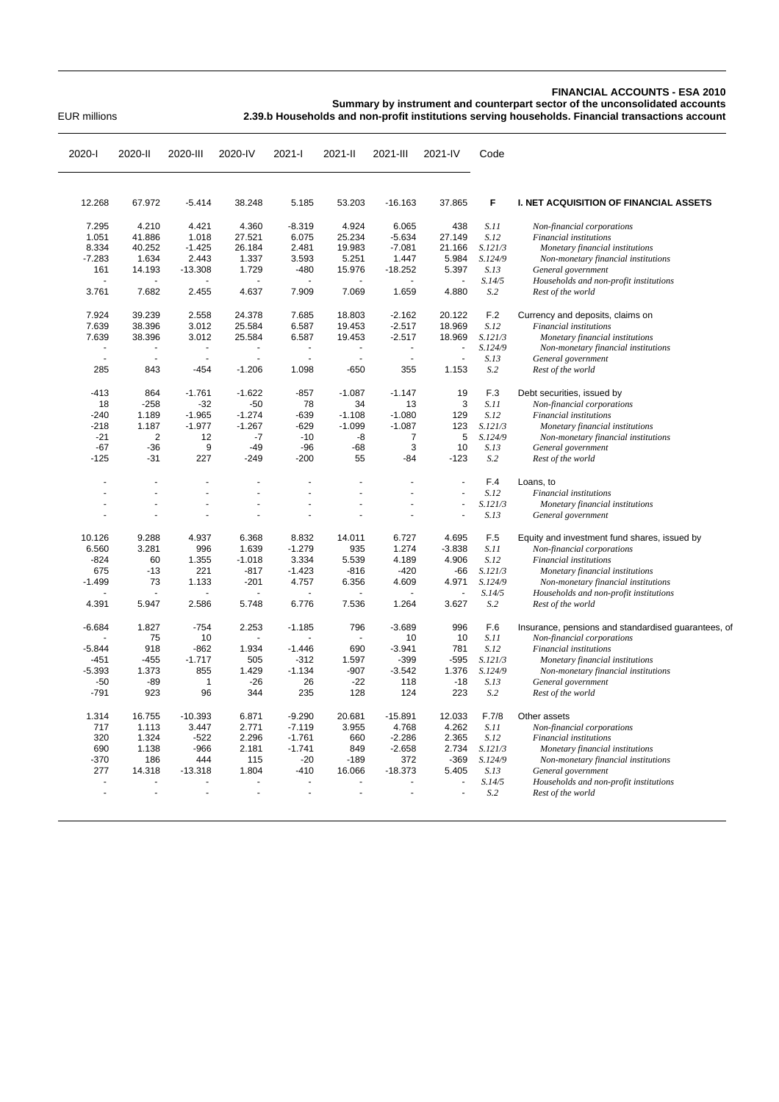## **FINANCIAL ACCOUNTS - ESA 2010**

**Summary by instrument and counterpart sector of the unconsolidated accounts**

EUR millions **2.39.b Households and non-profit institutions serving households. Financial transactions account**

| 2020-l               | 2020-II        | 2020-III     | 2020-IV                  | 2021-l   | 2021-II        | 2021-III  | 2021-IV               | Code    |                                                     |
|----------------------|----------------|--------------|--------------------------|----------|----------------|-----------|-----------------------|---------|-----------------------------------------------------|
| 12.268               | 67.972         | $-5.414$     | 38.248                   | 5.185    | 53.203         | $-16.163$ | 37.865                | F       | I. NET ACQUISITION OF FINANCIAL ASSETS              |
|                      |                |              |                          |          |                |           |                       |         |                                                     |
| 7.295                | 4.210          | 4.421        | 4.360                    | $-8.319$ | 4.924          | 6.065     | 438                   | S.11    | Non-financial corporations                          |
| 1.051                | 41.886         | 1.018        | 27.521                   | 6.075    | 25.234         | $-5.634$  | 27.149                | S.12    | Financial institutions                              |
| 8.334                | 40.252         | $-1.425$     | 26.184                   | 2.481    | 19.983         | $-7.081$  | 21.166                | S.121/3 | Monetary financial institutions                     |
| -7.283               | 1.634          | 2.443        | 1.337                    | 3.593    | 5.251          | 1.447     | 5.984                 | S.124/9 | Non-monetary financial institutions                 |
| 161                  | 14.193         | $-13.308$    | 1.729                    | $-480$   | 15.976         | $-18.252$ | 5.397                 | S.13    | General government                                  |
|                      |                |              |                          |          |                |           |                       | S.14/5  | Households and non-profit institutions              |
| 3.761                | 7.682          | 2.455        | 4.637                    | 7.909    | 7.069          | 1.659     | 4.880                 | S.2     | Rest of the world                                   |
| 7.924                | 39.239         | 2.558        | 24.378                   | 7.685    | 18.803         | $-2.162$  | 20.122                | F.2     | Currency and deposits, claims on                    |
| 7.639                | 38.396         | 3.012        | 25.584                   | 6.587    | 19.453         | $-2.517$  | 18.969                | S.12    | Financial institutions                              |
| 7.639                | 38.396         | 3.012        | 25.584                   | 6.587    | 19.453         | $-2.517$  | 18.969                | S.121/3 | Monetary financial institutions                     |
|                      |                |              |                          |          |                |           | $\tilde{\phantom{a}}$ | S.124/9 | Non-monetary financial institutions                 |
|                      |                |              |                          |          |                | L.        | L.                    | S.13    | General government                                  |
| 285                  | 843            | $-454$       | $-1.206$                 | 1.098    | $-650$         | 355       | 1.153                 | S.2     | Rest of the world                                   |
| -413                 | 864            | $-1.761$     | $-1.622$                 | -857     | $-1.087$       | $-1.147$  | 19                    | F.3     | Debt securities, issued by                          |
| 18                   | $-258$         | $-32$        | $-50$                    | 78       | 34             | 13        | 3                     | S.11    | Non-financial corporations                          |
| $-240$               | 1.189          | $-1.965$     | $-1.274$                 | -639     | $-1.108$       | $-1.080$  | 129                   | S.12    | Financial institutions                              |
| $-218$               | 1.187          | $-1.977$     | $-1.267$                 | $-629$   | $-1.099$       | $-1.087$  | 123                   | S.121/3 | Monetary financial institutions                     |
| $-21$                | $\overline{2}$ | 12           | -7                       | $-10$    | -8             | 7         | $\sqrt{5}$            | S.124/9 | Non-monetary financial institutions                 |
| $-67$                | $-36$          | 9            | $-49$                    | $-96$    | -68            | 3         | 10                    | S.13    | General government                                  |
| $-125$               | $-31$          | 227          | $-249$                   | $-200$   | 55             | -84       | $-123$                | S.2     | Rest of the world                                   |
|                      |                |              |                          |          |                |           |                       |         |                                                     |
|                      |                |              | $\sim$                   |          | ä,             |           |                       | F.4     | Loans, to                                           |
|                      |                |              |                          |          |                |           |                       | S.12    | Financial institutions                              |
| $\ddot{\phantom{1}}$ | $\overline{a}$ |              | $\overline{\phantom{a}}$ | L.       | ä,             | L.        |                       | S.121/3 | Monetary financial institutions                     |
|                      |                |              | ÷,                       |          | ä,             |           |                       | S.13    | General government                                  |
| 10.126               | 9.288          | 4.937        | 6.368                    | 8.832    | 14.011         | 6.727     | 4.695                 | F.5     | Equity and investment fund shares, issued by        |
| 6.560                | 3.281          | 996          | 1.639                    | $-1.279$ | 935            | 1.274     | $-3.838$              | S.11    | Non-financial corporations                          |
| $-824$               | 60             | 1.355        | $-1.018$                 | 3.334    | 5.539          | 4.189     | 4.906                 | S.12    | Financial institutions                              |
| 675                  | $-13$          | 221          | $-817$                   | $-1.423$ | $-816$         | $-420$    | -66                   | S.121/3 | Monetary financial institutions                     |
| $-1.499$             | 73             | 1.133        | $-201$                   | 4.757    | 6.356          | 4.609     | 4.971                 | S.124/9 | Non-monetary financial institutions                 |
|                      |                |              |                          |          |                |           |                       | S.14/5  | Households and non-profit institutions              |
| 4.391                | 5.947          | 2.586        | 5.748                    | 6.776    | 7.536          | 1.264     | 3.627                 | S.2     | Rest of the world                                   |
| $-6.684$             | 1.827          | $-754$       | 2.253                    | $-1.185$ | 796            | $-3.689$  | 996                   | F.6     | Insurance, pensions and standardised guarantees, of |
|                      | 75             | 10           |                          |          |                | 10        | 10                    | S.11    | Non-financial corporations                          |
| $-5.844$             | 918            | $-862$       | 1.934                    | $-1.446$ | 690            | $-3.941$  | 781                   | S.12    | Financial institutions                              |
| $-451$               | $-455$         | $-1.717$     | 505                      | $-312$   | 1.597          | $-399$    | $-595$                | S.121/3 | Monetary financial institutions                     |
| $-5.393$             | 1.373          | 855          | 1.429                    | $-1.134$ | $-907$         | $-3.542$  | 1.376                 | S.124/9 | Non-monetary financial institutions                 |
| $-50$                | $-89$          | $\mathbf{1}$ | $-26$                    | 26       | $-22$          | 118       | $-18$                 | S.13    | General government                                  |
| $-791$               | 923            | 96           | 344                      | 235      | 128            | 124       | 223                   | S.2     | Rest of the world                                   |
| 1.314                | 16.755         | $-10.393$    | 6.871                    | $-9.290$ | 20.681         | $-15.891$ | 12.033                | F.7/8   | Other assets                                        |
| 717                  | 1.113          | 3.447        | 2.771                    | $-7.119$ | 3.955          | 4.768     | 4.262                 | S.11    | Non-financial corporations                          |
| 320                  | 1.324          | $-522$       | 2.296                    | $-1.761$ | 660            | $-2.286$  | 2.365                 | S.12    | Financial institutions                              |
| 690                  | 1.138          | $-966$       | 2.181                    | $-1.741$ | 849            | $-2.658$  | 2.734                 | S.121/3 | Monetary financial institutions                     |
| $-370$               | 186            | 444          | 115                      | $-20$    | $-189$         | 372       | $-369$                | S.124/9 | Non-monetary financial institutions                 |
| 277                  | 14.318         | $-13.318$    | 1.804                    | $-410$   | 16.066         | $-18.373$ | 5.405                 | S.13    | General government                                  |
|                      |                |              |                          |          |                |           |                       | S.14/5  | Households and non-profit institutions              |
|                      |                |              |                          |          | $\overline{a}$ | Ĭ.        |                       | S.2     | Rest of the world                                   |
|                      |                |              |                          |          |                |           |                       |         |                                                     |
|                      |                |              |                          |          |                |           |                       |         |                                                     |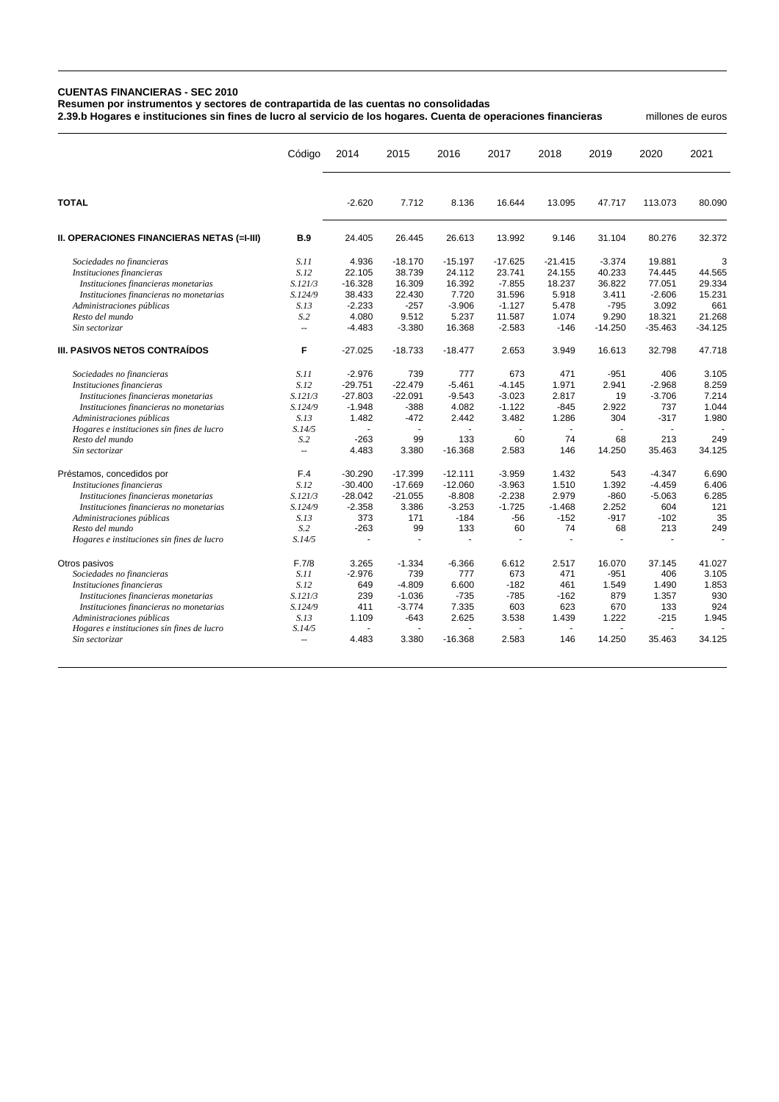## **CUENTAS FINANCIERAS - SEC 2010**

**Resumen por instrumentos y sectores de contrapartida de las cuentas no consolidadas**

**2.39.b Hogares e instituciones sin fines de lucro al servicio de los hogares. Cuenta de operaciones financieras** millones de euros

|                                            | Código        | 2014           | 2015           | 2016      | 2017           | 2018           | 2019           | 2020           | 2021      |
|--------------------------------------------|---------------|----------------|----------------|-----------|----------------|----------------|----------------|----------------|-----------|
| <b>TOTAL</b>                               |               | $-2.620$       | 7.712          | 8.136     | 16.644         | 13.095         | 47.717         | 113.073        | 80.090    |
| II. OPERACIONES FINANCIERAS NETAS (=I-III) | <b>B.9</b>    | 24.405         | 26.445         | 26.613    | 13.992         | 9.146          | 31.104         | 80.276         | 32.372    |
| Sociedades no financieras                  | S.11          | 4.936          | $-18.170$      | $-15.197$ | $-17.625$      | $-21.415$      | $-3.374$       | 19.881         | 3         |
| Instituciones financieras                  | S.12          | 22.105         | 38.739         | 24.112    | 23.741         | 24.155         | 40.233         | 74.445         | 44.565    |
| Instituciones financieras monetarias       | S.121/3       | -16.328        | 16.309         | 16.392    | $-7.855$       | 18.237         | 36.822         | 77.051         | 29.334    |
| Instituciones financieras no monetarias    | S.124/9       | 38.433         | 22.430         | 7.720     | 31.596         | 5.918          | 3.411          | $-2.606$       | 15.231    |
| Administraciones públicas                  | S.13          | $-2.233$       | $-257$         | $-3.906$  | $-1.127$       | 5.478          | $-795$         | 3.092          | 661       |
| Resto del mundo                            | S.2           | 4.080          | 9.512          | 5.237     | 11.587         | 1.074          | 9.290          | 18.321         | 21.268    |
| Sin sectorizar                             | u.            | $-4.483$       | $-3.380$       | 16.368    | $-2.583$       | $-146$         | $-14.250$      | $-35.463$      | $-34.125$ |
| III. PASIVOS NETOS CONTRAÍDOS              | F             | $-27.025$      | $-18.733$      | $-18.477$ | 2.653          | 3.949          | 16.613         | 32.798         | 47.718    |
| Sociedades no financieras                  | S.11          | $-2.976$       | 739            | 777       | 673            | 471            | $-951$         | 406            | 3.105     |
| Instituciones financieras                  | S.12          | $-29.751$      | $-22.479$      | $-5.461$  | $-4.145$       | 1.971          | 2.941          | $-2.968$       | 8.259     |
| Instituciones financieras monetarias       | S.121/3       | $-27.803$      | $-22.091$      | $-9.543$  | $-3.023$       | 2.817          | 19             | $-3.706$       | 7.214     |
| Instituciones financieras no monetarias    | S.124/9       | $-1.948$       | $-388$         | 4.082     | $-1.122$       | $-845$         | 2.922          | 737            | 1.044     |
| Administraciones públicas                  | S.13          | 1.482          | $-472$         | 2.442     | 3.482          | 1.286          | 304            | $-317$         | 1.980     |
| Hogares e instituciones sin fines de lucro | S.14/5        |                | ÷.             |           | $\sim$         | $\blacksquare$ |                | ÷.             |           |
| Resto del mundo                            | S.2           | $-263$         | 99             | 133       | 60             | 74             | 68             | 213            | 249       |
| Sin sectorizar                             | $\sim$ $\sim$ | 4.483          | 3.380          | $-16.368$ | 2.583          | 146            | 14.250         | 35.463         | 34.125    |
| Préstamos, concedidos por                  | F.4           | $-30.290$      | $-17.399$      | $-12.111$ | $-3.959$       | 1.432          | 543            | $-4.347$       | 6.690     |
| Instituciones financieras                  | S.12          | $-30.400$      | $-17.669$      | $-12.060$ | $-3.963$       | 1.510          | 1.392          | $-4.459$       | 6.406     |
| Instituciones financieras monetarias       | S.121/3       | $-28.042$      | $-21.055$      | $-8.808$  | $-2.238$       | 2.979          | $-860$         | $-5.063$       | 6.285     |
| Instituciones financieras no monetarias    | S.124/9       | $-2.358$       | 3.386          | $-3.253$  | $-1.725$       | $-1.468$       | 2.252          | 604            | 121       |
| Administraciones públicas                  | S.13          | 373            | 171            | $-184$    | -56            | $-152$         | $-917$         | $-102$         | 35        |
| Resto del mundo                            | S.2           | $-263$         | 99             | 133       | 60             | 74             | 68             | 213            | 249       |
| Hogares e instituciones sin fines de lucro | S.14/5        | $\overline{a}$ | $\overline{a}$ |           | $\overline{a}$ | $\overline{a}$ | $\overline{a}$ | $\overline{a}$ |           |
| Otros pasivos                              | F.7/8         | 3.265          | $-1.334$       | $-6.366$  | 6.612          | 2.517          | 16.070         | 37.145         | 41.027    |
| Sociedades no financieras                  | S.11          | $-2.976$       | 739            | 777       | 673            | 471            | $-951$         | 406            | 3.105     |
| Instituciones financieras                  | S.12          | 649            | $-4.809$       | 6.600     | $-182$         | 461            | 1.549          | 1.490          | 1.853     |
| Instituciones financieras monetarias       | S.121/3       | 239            | $-1.036$       | $-735$    | $-785$         | $-162$         | 879            | 1.357          | 930       |
| Instituciones financieras no monetarias    | S.124/9       | 411            | $-3.774$       | 7.335     | 603            | 623            | 670            | 133            | 924       |
| Administraciones públicas                  | S.13          | 1.109          | $-643$         | 2.625     | 3.538          | 1.439          | 1.222          | $-215$         | 1.945     |
| Hogares e instituciones sin fines de lucro | S.14/5        |                | $\overline{a}$ | $\sim$    | ÷.             | $\blacksquare$ | ä,             | $\sim$         |           |
| Sin sectorizar                             | $\sim$ $\sim$ | 4.483          | 3.380          | $-16.368$ | 2.583          | 146            | 14.250         | 35.463         | 34.125    |